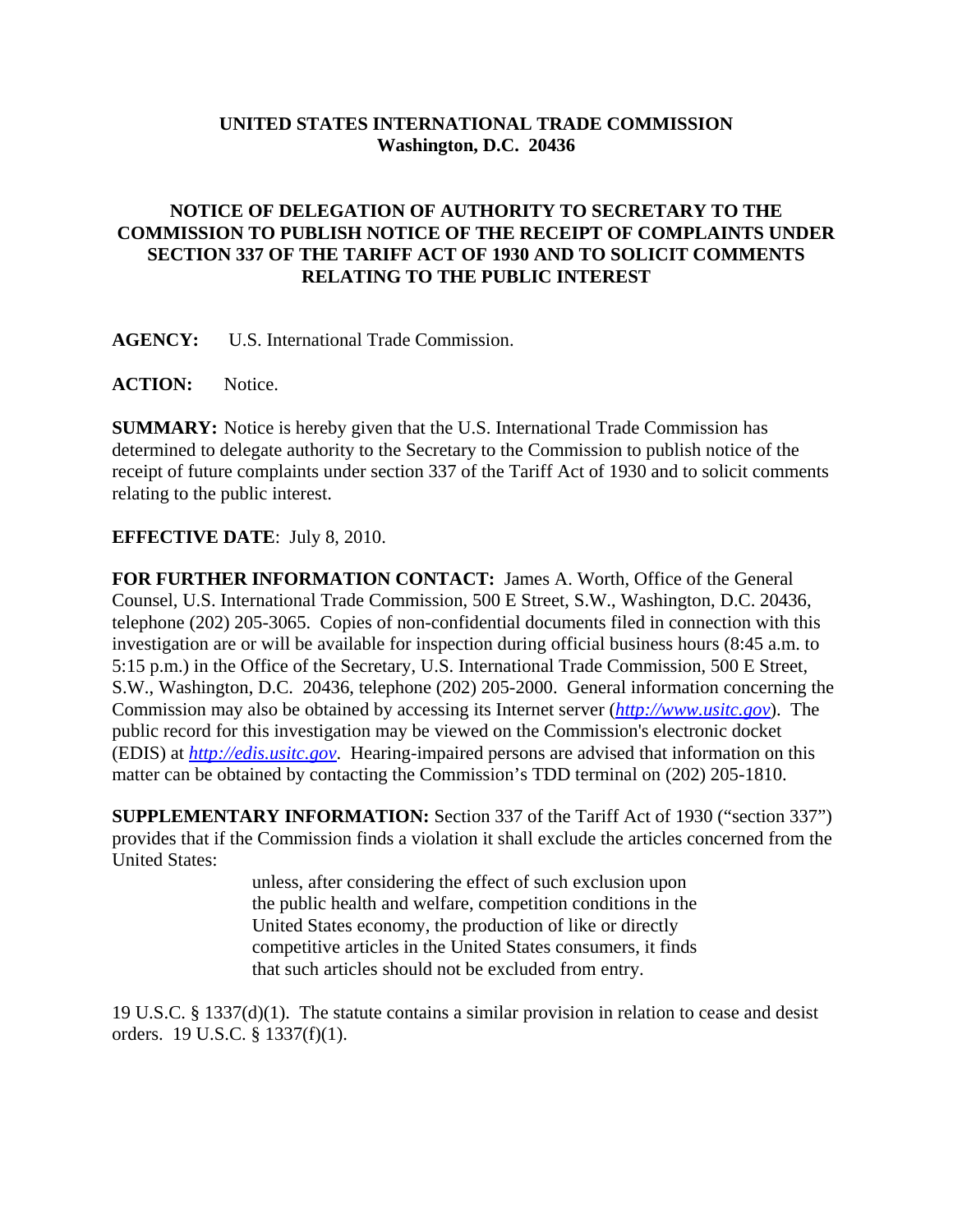## **UNITED STATES INTERNATIONAL TRADE COMMISSION Washington, D.C. 20436**

## **NOTICE OF DELEGATION OF AUTHORITY TO SECRETARY TO THE COMMISSION TO PUBLISH NOTICE OF THE RECEIPT OF COMPLAINTS UNDER SECTION 337 OF THE TARIFF ACT OF 1930 AND TO SOLICIT COMMENTS RELATING TO THE PUBLIC INTEREST**

**AGENCY:** U.S. International Trade Commission.

ACTION: Notice.

**SUMMARY:** Notice is hereby given that the U.S. International Trade Commission has determined to delegate authority to the Secretary to the Commission to publish notice of the receipt of future complaints under section 337 of the Tariff Act of 1930 and to solicit comments relating to the public interest.

## **EFFECTIVE DATE**: July 8, 2010.

**FOR FURTHER INFORMATION CONTACT:** James A. Worth, Office of the General Counsel, U.S. International Trade Commission, 500 E Street, S.W., Washington, D.C. 20436, telephone (202) 205-3065. Copies of non-confidential documents filed in connection with this investigation are or will be available for inspection during official business hours (8:45 a.m. to 5:15 p.m.) in the Office of the Secretary, U.S. International Trade Commission, 500 E Street, S.W., Washington, D.C. 20436, telephone (202) 205-2000. General information concerning the Commission may also be obtained by accessing its Internet server (*http://www.usitc.gov*). The public record for this investigation may be viewed on the Commission's electronic docket (EDIS) at *http://edis.usitc.gov*. Hearing-impaired persons are advised that information on this matter can be obtained by contacting the Commission's TDD terminal on (202) 205-1810.

**SUPPLEMENTARY INFORMATION:** Section 337 of the Tariff Act of 1930 ("section 337") provides that if the Commission finds a violation it shall exclude the articles concerned from the United States:

> unless, after considering the effect of such exclusion upon the public health and welfare, competition conditions in the United States economy, the production of like or directly competitive articles in the United States consumers, it finds that such articles should not be excluded from entry.

19 U.S.C. § 1337(d)(1). The statute contains a similar provision in relation to cease and desist orders. 19 U.S.C. § 1337(f)(1).